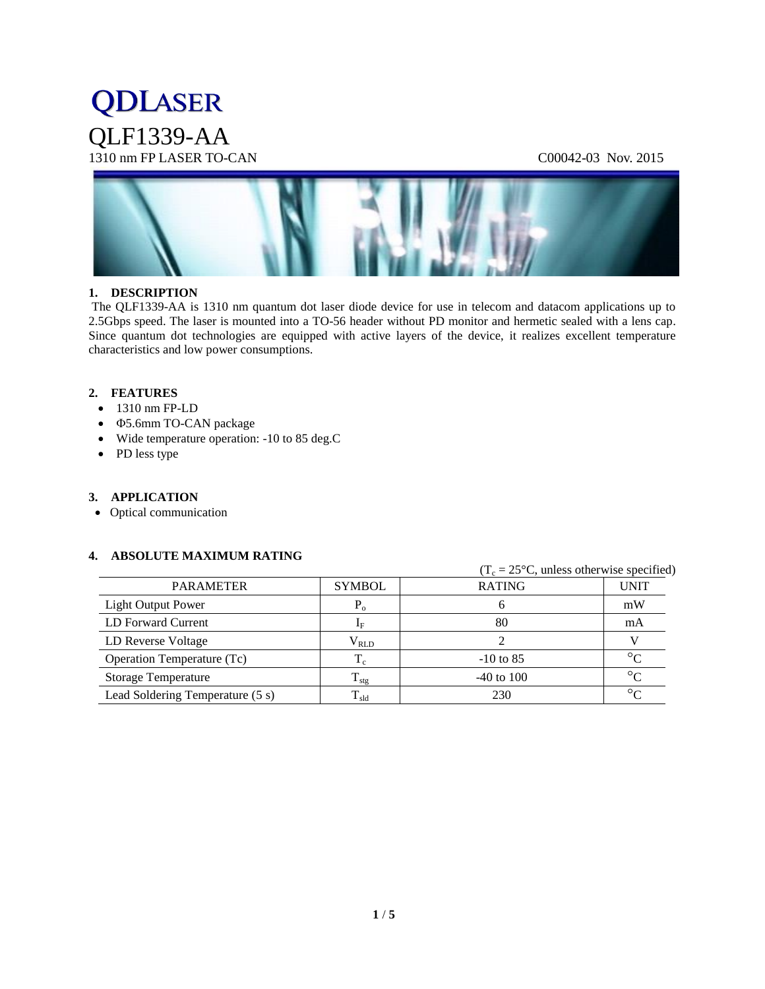## **QDLASER** QLF1339-AA 1310 nm FP LASER TO-CAN C00042-03 Nov. 2015



#### **1. DESCRIPTION**

The QLF1339-AA is 1310 nm quantum dot laser diode device for use in telecom and datacom applications up to 2.5Gbps speed. The laser is mounted into a TO-56 header without PD monitor and hermetic sealed with a lens cap. Since quantum dot technologies are equipped with active layers of the device, it realizes excellent temperature characteristics and low power consumptions.

#### **2. FEATURES**

- 1310 nm FP-LD
- **Φ5.6mm TO-CAN package**
- Wide temperature operation: -10 to 85 deg.C
- PD less type

#### **3. APPLICATION**

Optical communication

#### **4. ABSOLUTE MAXIMUM RATING**

|                                  |                        |                | $(T_c = 25^{\circ}C$ , unless otherwise specified) |  |
|----------------------------------|------------------------|----------------|----------------------------------------------------|--|
| <b>PARAMETER</b>                 | <b>SYMBOL</b>          | <b>RATING</b>  | <b>UNIT</b>                                        |  |
| <b>Light Output Power</b>        | $P_{o}$                | O              | mW                                                 |  |
| LD Forward Current               | $\mathbf{I}_{\rm F}$   | 80             | mA                                                 |  |
| LD Reverse Voltage               | $\rm V_{\rm RLD}$      |                |                                                    |  |
| Operation Temperature (Tc)       | $T_c$                  | $-10$ to 85    | $\circ$                                            |  |
| <b>Storage Temperature</b>       | $\rm T_{\rm stg}$      | $-40$ to $100$ | $\circ$                                            |  |
| Lead Soldering Temperature (5 s) | $\mathrm{T}_{\rm sld}$ | 230            | $\circ$                                            |  |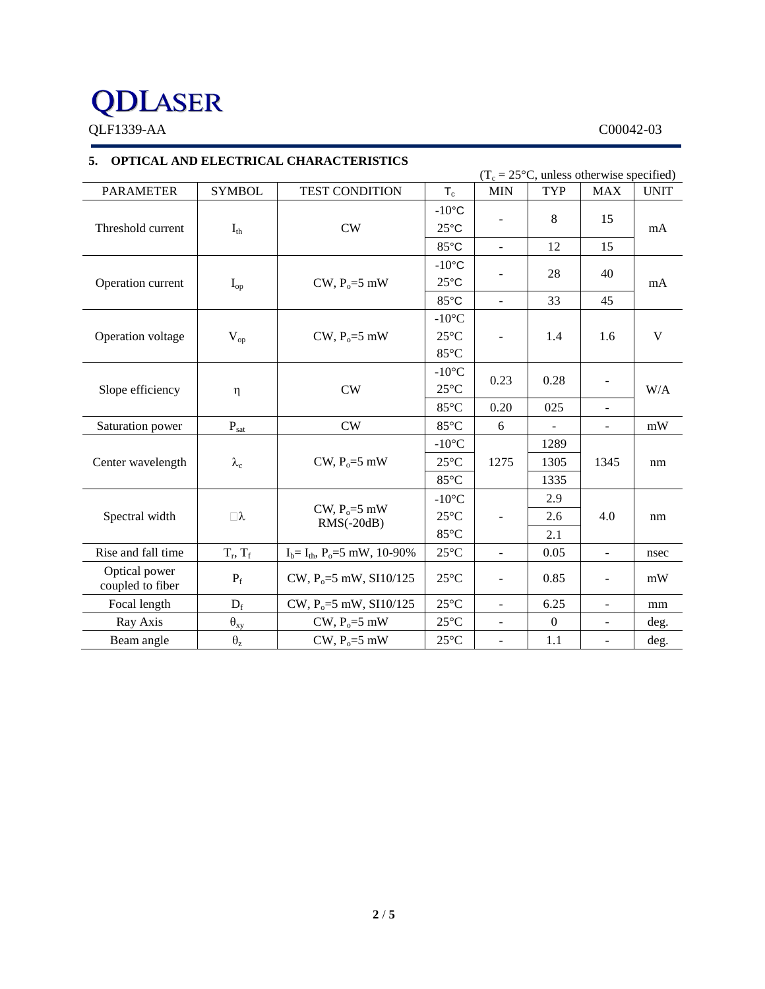# **QDLASER**

QLF1339-AA C00042-03

## **5. OPTICAL AND ELECTRICAL CHARACTERISTICS**

 $(T_c = 25^{\circ}C$ , unless otherwise specified) PARAMETER SYMBOL TEST CONDITION  $T_c$  MIN TYP MAX UNIT Threshold current  $I_{th}$  CW  $-10$ °C 25°C - 8 15 mA 85 $^{\circ}$ C - 12 15 Operation current  $I_{op}$   $I_{op}$  CW,  $P_o = 5$  mW  $-10$ °C 25°C  $-$  28 40 mA 85<sup>°</sup>C - 33 45 Operation voltage  $V_{op}$  CW,  $P_o = 5$  mW -10°C 25°C 85°C - 1.4 1.6 V Slope efficiency  $\eta$  CW -10°C  $25^{\circ}$ C  $0.23$  0.28 -W/A 85°C 0.20 025 -Saturation power |  $P_{sat}$  | CW |  $85^{\circ}$ C | 6 | - | - | mW Center wavelength  $\lambda_c$  CW, P<sub>o</sub>=5 mW  $-10^{\circ}$ C 1275 1289 25°C 1275 1305 1345 nm 85°C | 1335 Spectral width  $\bigcup \lambda$ CW,  $P_0 = 5$  mW RMS(-20dB) -10°C 25°C 85°C - 2.9 2.6 4.0 nm 2.1 Rise and fall time  $T_r$ ,  $T_f$  $I_b = I_{th}$ ,  $P_o = 5$  mW, 10-90% 25°C - 0.05 - nsec Optical power Coupled to fiber  $P_f$  CW,  $P_o = 5$  mW, SI10/125  $25^{\circ}$ C - 0.85 - mW Focal length  $D_f$   $CW$ ,  $P_o = 5$  mW, SI10/125  $25^{\circ}C$  - 6.25 - mm Ray Axis  $\theta_{xy}$  CW, P<sub>o</sub>=5 mW 25°C - 0 - deg. Beam angle  $\theta_z$  CW,  $P_o=5$  mW  $25^{\circ}C$  - 1.1 - deg.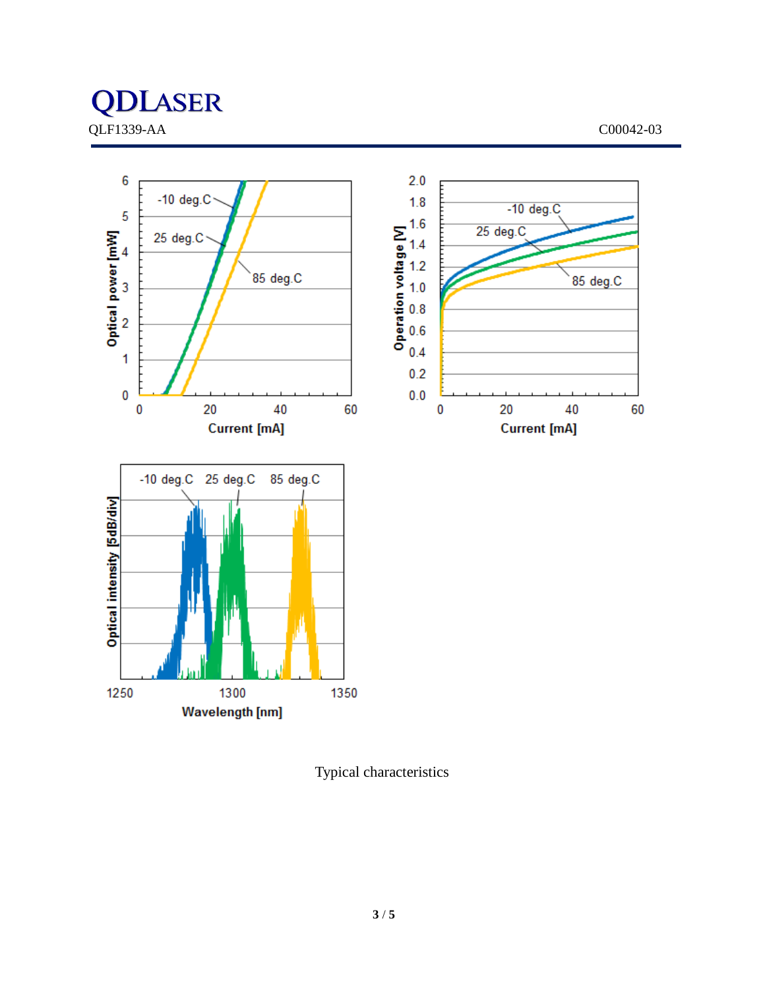



Typical characteristics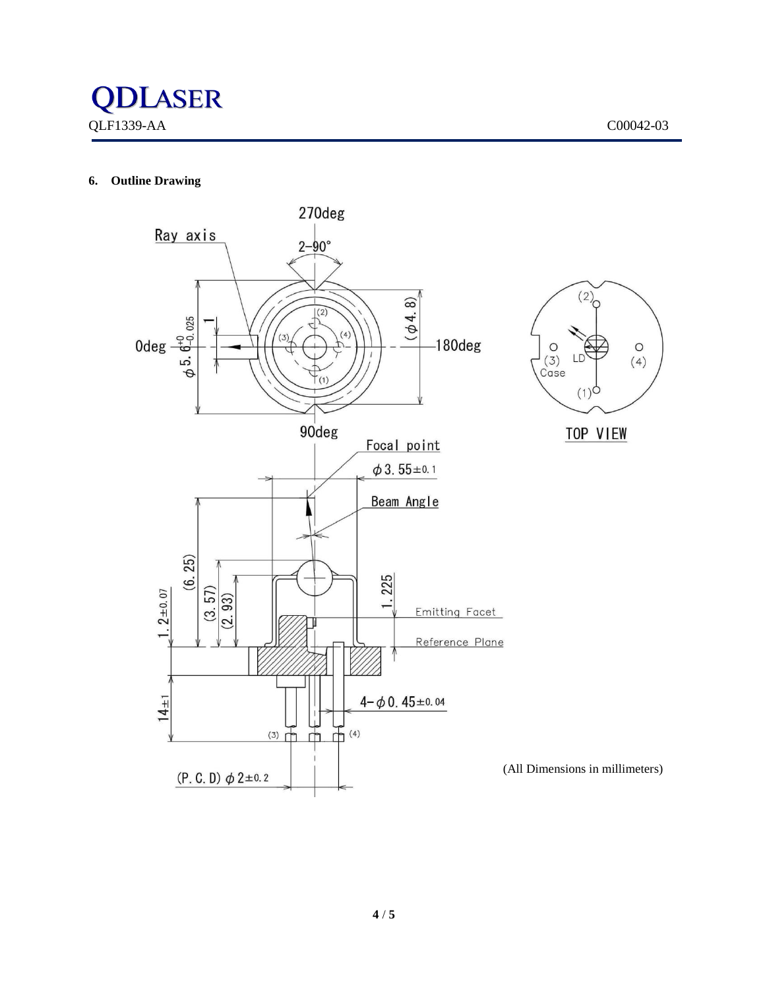### **6. Outline Drawing**